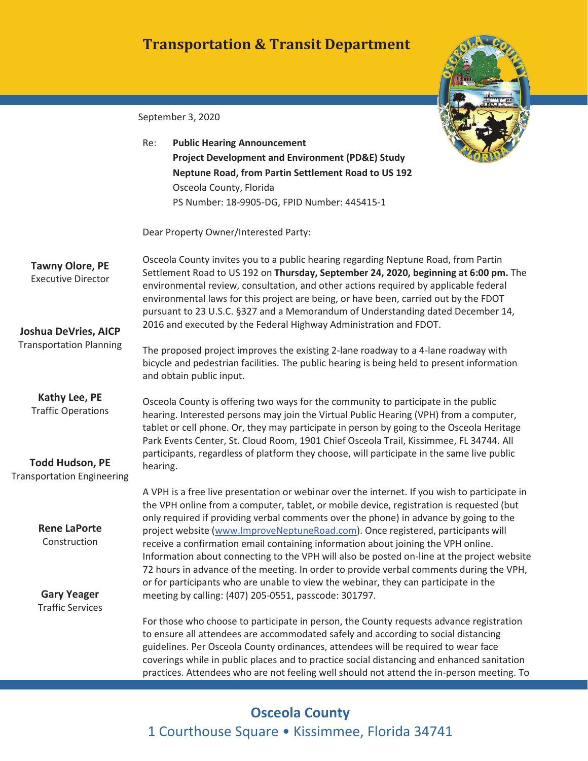## **Transportation & Transit Department**



| September 3, 2020 |  |  |
|-------------------|--|--|
|-------------------|--|--|

|                                                             | Re:                                                                                                                                                                                                                                                                                                                                                                                                                                           | <b>Public Hearing Announcement</b>                                                                                                                                                                                                                                                                                                                                                                                                                             |  |
|-------------------------------------------------------------|-----------------------------------------------------------------------------------------------------------------------------------------------------------------------------------------------------------------------------------------------------------------------------------------------------------------------------------------------------------------------------------------------------------------------------------------------|----------------------------------------------------------------------------------------------------------------------------------------------------------------------------------------------------------------------------------------------------------------------------------------------------------------------------------------------------------------------------------------------------------------------------------------------------------------|--|
|                                                             |                                                                                                                                                                                                                                                                                                                                                                                                                                               | <b>Project Development and Environment (PD&amp;E) Study</b>                                                                                                                                                                                                                                                                                                                                                                                                    |  |
|                                                             |                                                                                                                                                                                                                                                                                                                                                                                                                                               | Neptune Road, from Partin Settlement Road to US 192                                                                                                                                                                                                                                                                                                                                                                                                            |  |
|                                                             |                                                                                                                                                                                                                                                                                                                                                                                                                                               | Osceola County, Florida                                                                                                                                                                                                                                                                                                                                                                                                                                        |  |
|                                                             |                                                                                                                                                                                                                                                                                                                                                                                                                                               | PS Number: 18-9905-DG, FPID Number: 445415-1                                                                                                                                                                                                                                                                                                                                                                                                                   |  |
|                                                             |                                                                                                                                                                                                                                                                                                                                                                                                                                               | Dear Property Owner/Interested Party:                                                                                                                                                                                                                                                                                                                                                                                                                          |  |
| <b>Tawny Olore, PE</b><br><b>Executive Director</b>         | Osceola County invites you to a public hearing regarding Neptune Road, from Partin<br>Settlement Road to US 192 on Thursday, September 24, 2020, beginning at 6:00 pm. The<br>environmental review, consultation, and other actions required by applicable federal<br>environmental laws for this project are being, or have been, carried out by the FDOT<br>pursuant to 23 U.S.C. §327 and a Memorandum of Understanding dated December 14, |                                                                                                                                                                                                                                                                                                                                                                                                                                                                |  |
| <b>Joshua DeVries, AICP</b>                                 |                                                                                                                                                                                                                                                                                                                                                                                                                                               | 2016 and executed by the Federal Highway Administration and FDOT.                                                                                                                                                                                                                                                                                                                                                                                              |  |
| <b>Transportation Planning</b>                              |                                                                                                                                                                                                                                                                                                                                                                                                                                               | The proposed project improves the existing 2-lane roadway to a 4-lane roadway with<br>bicycle and pedestrian facilities. The public hearing is being held to present information<br>and obtain public input.                                                                                                                                                                                                                                                   |  |
| Kathy Lee, PE<br><b>Traffic Operations</b>                  | Osceola County is offering two ways for the community to participate in the public<br>hearing. Interested persons may join the Virtual Public Hearing (VPH) from a computer,<br>tablet or cell phone. Or, they may participate in person by going to the Osceola Heritage<br>Park Events Center, St. Cloud Room, 1901 Chief Osceola Trail, Kissimmee, FL 34744. All                                                                           |                                                                                                                                                                                                                                                                                                                                                                                                                                                                |  |
| <b>Todd Hudson, PE</b><br><b>Transportation Engineering</b> | hearing.                                                                                                                                                                                                                                                                                                                                                                                                                                      | participants, regardless of platform they choose, will participate in the same live public                                                                                                                                                                                                                                                                                                                                                                     |  |
|                                                             |                                                                                                                                                                                                                                                                                                                                                                                                                                               | A VPH is a free live presentation or webinar over the internet. If you wish to participate in<br>the VPH online from a computer, tablet, or mobile device, registration is requested (but<br>only required if providing verbal comments over the phone) in advance by going to the                                                                                                                                                                             |  |
| <b>Rene LaPorte</b><br>Construction                         |                                                                                                                                                                                                                                                                                                                                                                                                                                               | project website (www.ImproveNeptuneRoad.com). Once registered, participants will<br>receive a confirmation email containing information about joining the VPH online.<br>Information about connecting to the VPH will also be posted on-line at the project website<br>72 hours in advance of the meeting. In order to provide verbal comments during the VPH,<br>or for participants who are unable to view the webinar, they can participate in the          |  |
| <b>Gary Yeager</b><br><b>Traffic Services</b>               |                                                                                                                                                                                                                                                                                                                                                                                                                                               | meeting by calling: (407) 205-0551, passcode: 301797.                                                                                                                                                                                                                                                                                                                                                                                                          |  |
|                                                             |                                                                                                                                                                                                                                                                                                                                                                                                                                               | For those who choose to participate in person, the County requests advance registration<br>to ensure all attendees are accommodated safely and according to social distancing<br>guidelines. Per Osceola County ordinances, attendees will be required to wear face<br>coverings while in public places and to practice social distancing and enhanced sanitation<br>practices. Attendees who are not feeling well should not attend the in-person meeting. To |  |

# **Osceola County**  1 Courthouse Square • Kissimmee, Florida 34741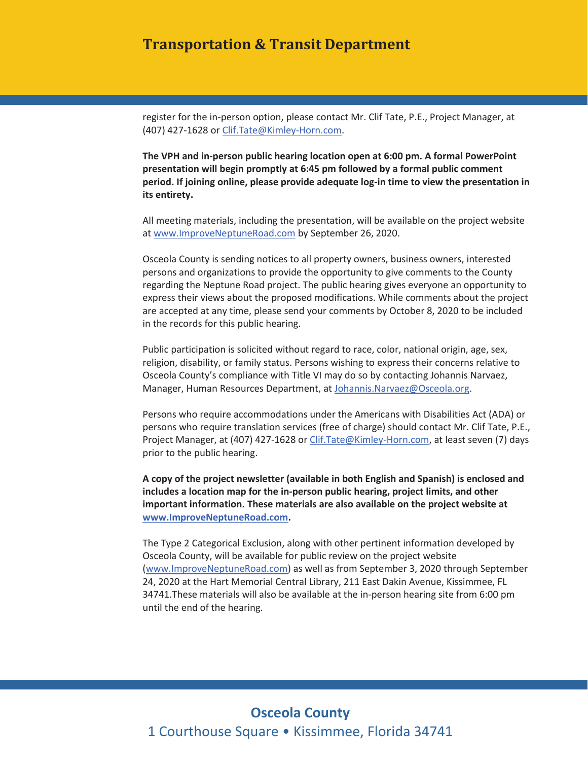#### **Transportation & Transit Department**

register for the in-person option, please contact Mr. Clif Tate, P.E., Project Manager, at (407) 427-1628 or Clif.Tate@Kimley-Horn.com.

**The VPH and in-person public hearing location open at 6:00 pm. A formal PowerPoint presentation will begin promptly at 6:45 pm followed by a formal public comment period. If joining online, please provide adequate log-in time to view the presentation in its entirety.** 

at www.ImproveNeptuneRoad.com by September 26, 2020. All meeting materials, including the presentation, will be available on the project website

 persons and organizations to provide the opportunity to give comments to the County Osceola County is sending notices to all property owners, business owners, interested regarding the Neptune Road project. The public hearing gives everyone an opportunity to express their views about the proposed modifications. While comments about the project are accepted at any time, please send your comments by October 8, 2020 to be included in the records for this public hearing.

Public participation is solicited without regard to race, color, national origin, age, sex, religion, disability, or family status. Persons wishing to express their concerns relative to Osceola County's compliance with Title VI may do so by contacting Johannis Narvaez, Manager, Human Resources Department, at Johannis.Narvaez@Osceola.org.

Persons who require accommodations under the Americans with Disabilities Act (ADA) or persons who require translation services (free of charge) should contact Mr. Clif Tate, P.E., Project Manager, at (407) 427-1628 or Clif.Tate@Kimley-Horn.com, at least seven (7) days prior to the public hearing.

**A copy of the project newsletter (available in both English and Spanish) is enclosed and includes a location map for the in-person public hearing, project limits, and other important information. These materials are also available on the project website at www.ImproveNeptuneRoad.com.** 

 34741.These materials will also be available at the in-person hearing site from 6:00 pm The Type 2 Categorical Exclusion, along with other pertinent information developed by Osceola County, will be available for public review on the project website (www.ImproveNeptuneRoad.com) as well as from September 3, 2020 through September 24, 2020 at the Hart Memorial Central Library, 211 East Dakin Avenue, Kissimmee, FL until the end of the hearing.

### **Osceola County**  1 Courthouse Square • Kissimmee, Florida 34741